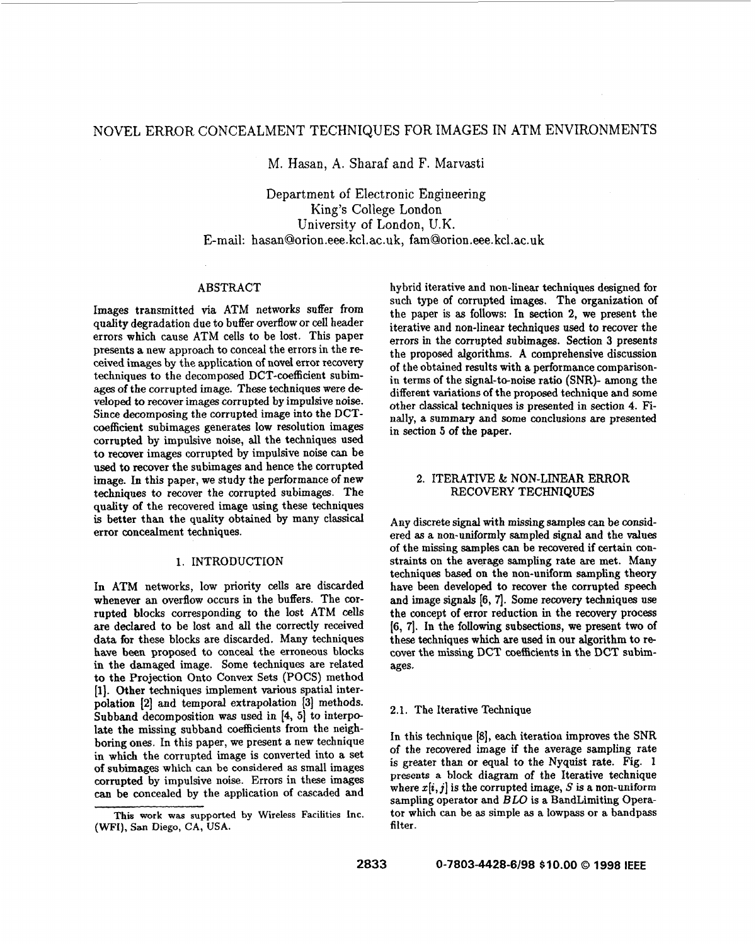# NOVEL ERROR CONCEALMENT TECHNIQUES FOR IMAGES IN ATM ENVIRONMENTS

M. Hasan, **A.** Sharaf and F. Marvasti

Department of Electronic Engineering King's College London University of London, U.K. E-mail: [hasan@orion.eee.kcl.ac.uk,](mailto:hasan@orion.eee.kcl.ac.uk) **[fam@orion.eee.kcl.ac.uk](mailto:fam@orion.eee.kcl.ac.uk)** 

# ABSTRACT

Images transmitted via ATM networks suffer from quality degradation due to buffer overflow or **cell** header errors which cause ATM cells to be lost. This paper presents a new approach to conceal the errors in the received images by the application of novel error recovery techniques to the decomposed DCT-coefficient subimages of the corrupted image. These techniques were developed to recover images corrupted by impulsive noise. Since decomposing the corrupted image into the **DCT**coefficient subimages generates low resolution images corrupted by impulsive noise, all the techniques used to recover images corrupted by impulsive noise *can* be used to recover the subimages and hence the corrupted image. In this paper, we study the performance of new techniques to recover the corrupted subimages. The quality of the recovered image using these techniques is better than the quality obtained by many classical error concealment techniques.

# **I.** INTRODUCTION

In ATM networks, low priority cells are discarded whenever **an** overflow occurs in the buffers. The corrupted blocks corresponding to the lost ATM **cells**  are declared to be lost and all the correctly received data for these blocks are discarded. Many techniques have **been** proposed to conceal the erroneous blocks in the damaged image. Some techniques are related to the Projection Onto Convex Sets **(POCS)** method **[l].** Other techniques implement various spatial interpolation **[2]** and temporal extrapolation [3] methods. Subband decomposition was used in [4, 5] to interpolate the missing subband coefficients from the neighboring ones. In this paper, we present a new technique in which the corrupted image is converted into a set of subimages which can be **considered as** small images corrupted by impulsive noise. Errors in these images *can* be concealed by the application of cascaded and

**This work was supported by Wireless Facilities Inc. (WFI), San Diego, CA, USA.** 

hybrid iterative and non-linear techniques designed for such type of corrupted images. The organization of the paper is **as** follows: In section **2,** we present the iterative and non-linear techniques used to recover the errors in the corrupted **subimages.** Section 3 presents the proposed algorithms. A comprehensive discussion of the obtained results with a performance comparisonin terms of the signal-to-noise ratio **(SNR)-** among the different variations of the proposed technique and some other classical techniques is presented in section **4.** Finally, a summary **and** some conclusions are presented in section 5 of the paper.

# **2.** ITERATIVE & **NON-LINEAR ERROR RECOVERY** TECHNIQUES

Any discrete signal with missing samples can be considered **as** a non-uniformly sampled signal and the **values**  of the missing samples caa be recovered if certain constraints on the average sampling rate are met. Many techniques based on the non-uniform sampling theory have been developed to recover the corrupted speech and image signals [6, 7]. Some recovery techniques use the concept of error reduction in the recovery process **[6, 71.** In the following subsections, we present two of these techniques **which** are used in our algorithm to re cover the missing DCT Coefficients in the **DCT** subimages.

## 2.1. The Iterative Technique

In this technique [8], each iteration improves the SNR of the recovered image if the average sampling rate is greater than or equal to the Nyquist rate. Fig. 1 presents **a** block diagram of the Iterative technique where  $xi$ ,  $i$ ) is the corrupted image,  $S$  is a non-uniform sampling operator and *B* LO is **a** BandLimiting Operator which **can** be **as** simple **as** a lowpass or **a** bandpass filter.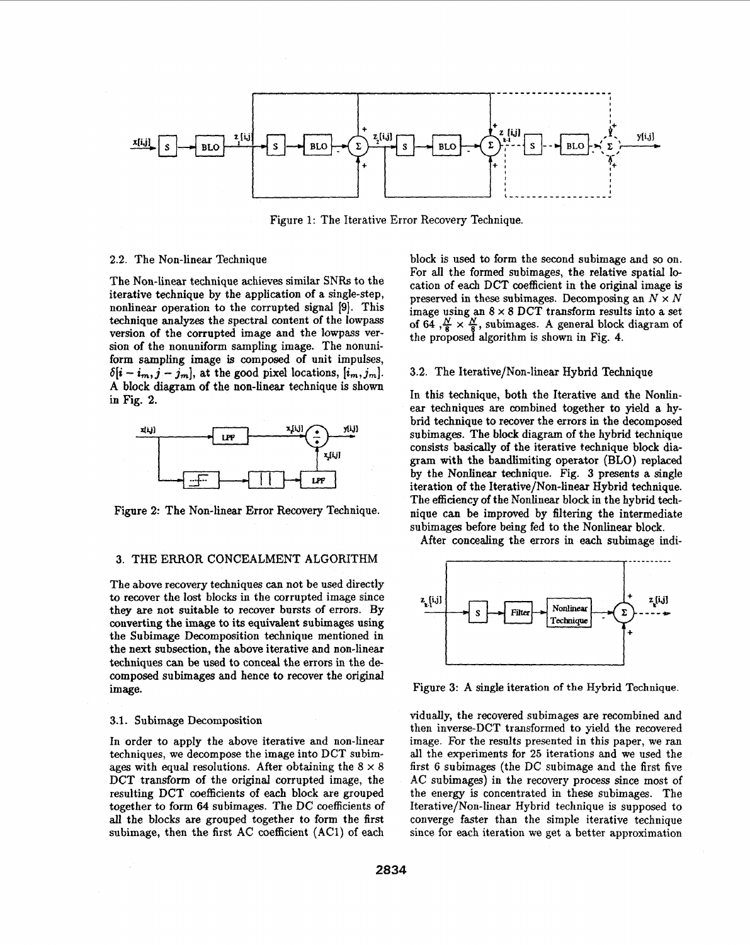

Figure 1: The Iterative Error Recovery Technique.

## **2.2.** The Non-linear Technique

The Non-linear technique achieves similar SNRs to the iterative technique by the application of a single-step, nonlinear operation to the corrupted signal **[9).** This technique analyzes the spectral content of the lowpass version of the corrupted image and the lowpass version of the nonuniform sampling image. The nonuniform sampling image is composed of unit impulses,  $\delta[i - i_m, j - j_m]$ , at the good pixel locations,  $[i_m, j_m]$ . A block **diagram** of the non-lineax technique is shown in Fig. **2.** 



Figure **2:** The Non-linear Error Recovery Technique.

## 3. THE ERROR CONCEALMENT ALGORITHM

The above recovery techniques can not be used directly to recover the lost blocks in the corrupted image since they are not suitable to recover bursts of errors. By converting the image to its equivalent subimages using the Subimage Decomposition technique mentioned in the next subsection, the above iterative and non-linear techniques can be used to conceal the errors in the decomposed subimages and hence to recover the original image.

#### **3.1.** Subimage Decomposition

**In** order to apply the above iterative and non-linear techniques, we decompose the image into DCT subimages with equal resolutions. After obtaining the  $8 \times 8$ DCT transform of the original corrupted image, the resulting DCT coefficients of each block are grouped together to form **64** subimages. The DC coefficients of all the blocks are grouped together to form the first subimage, then the first AC coefficient **(AC1)** of each block is used to form the second subimage and *so* on. For all the formed subimages, the relative spatial location of each DCT coefficient in the original image is preserved in these subimages. Decomposing an  $N \times N$ image using an  $8 \times 8$  DCT transform results into a set of  $64$ ,  $\frac{N}{8} \times \frac{N}{8}$ , subimages. A general block diagram of the proposed algorithm is shown in Fig. 4.

#### 3.2. The Iterative/Non-linear Hybrid Technique

In this technique, both the Iterative and the Nonlinear techniques are combined together to yield a hybrid technique to recover the errors in the decomposed subimages. The block diagram of the hybrid technique consists **basically** of the iterative technique block diagram with the bandlimiting operator (BLO) replaced by the **Nonlinear** technique. Fig. 3 presents a single iteration of the Iterative/Non-linear Hybrid technique. The efficiency of the Nonlinear block in the hybrid technique can be improved by filtering the intermediate subimages before being fed to the Nonlinear block.

After concealing the errors in each subimage indi-



Figure 3: A single iteration of the Hybrid Technique.

vidually, the recovered subimages are recombined and then inverse-DCT transformed to yield the recovered image. For the results presented in this paper, we ran all the experiments for 25 iterations and we used the first **6** subimages (the DC subimage and the first five AC subimages) in the recovery process since most of the energy is concentrated in these subimages. The Iterative/Non-linear Hybrid technique is supposed to converge faster than the simple iterative technique since for each iteration we get a better approximation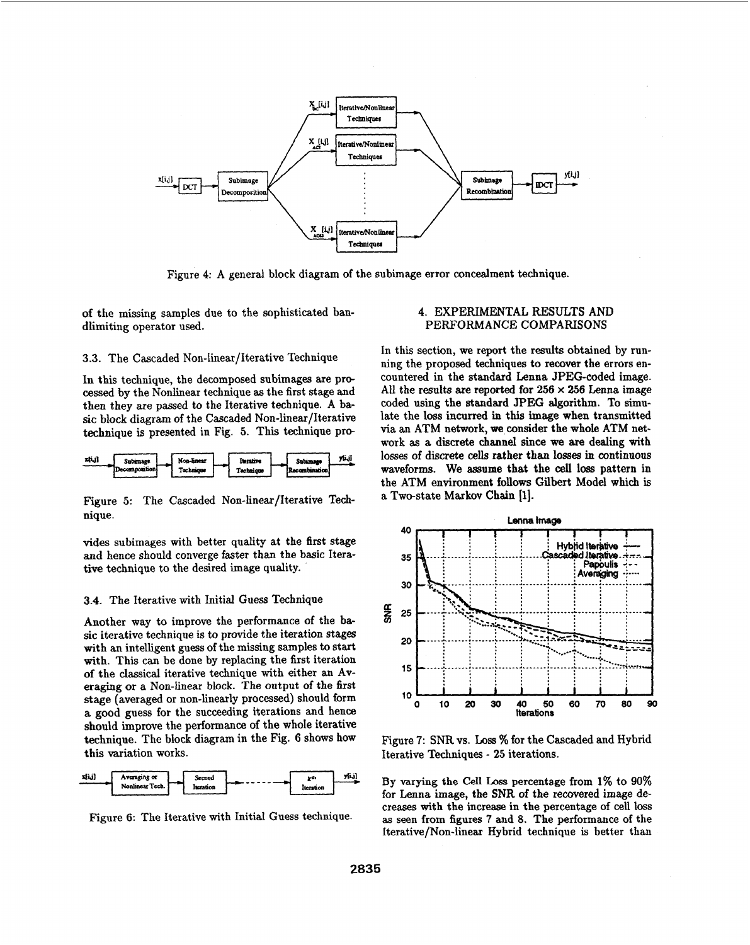

Figure **4:** A general block diagram of the subimage error concealment technique.

of the missing samples due to the sophisticated bandlimiting operator used.

#### 3.3. The Cascaded Non-linear/Iterative Technique

In this technique, the decomposed subimages are processed by the Nonlinear technique **as** the first stage and then they are passed to the Iterative technique. A basic block diagram of the Cascaded Non-linear/Iterative technique is presented in **Fig.** *5.* This technique pro-

| xti.j) | <b>Subimage</b> | Non-hnear | Iterativa | Subimaer      | yüj |
|--------|-----------------|-----------|-----------|---------------|-----|
|        | Decomposition   | Tochnique | Technique | Recombination |     |

Figure *5:* The Cascaded Non-linear/Iterative Technique.

vides subimages with better quality at the first stage **and** hence should converge faster than the basic Iterative technique to the desired image quality.

### **3.4.** The Iterative with Initial Guess Technique

Another way to improve the performance of the ba**sic** iterative technique is to provide the iteration stages with an intelligent guess of the missing samples to start with. This can be done by replacing the first iteration **of** the classical iterative technique with either **an** Averaging or a Non-linear block. The output of the **first**  stage (averaged or non-linearly processed) should form a good guess for the succeeding iterations and hence should improve the performance of the whole iterative technique. The block diagram in the Fig. 6 shows how this variation works. This can be done by replication stages<br>an intelligent guess of the missing samples to start<br>This can be done by replacing the first iteration<br>rang or a Non-linear block. The output of the first<br>(averaged or non-linearly pr

| zli i'<br>Averaging or<br>Nonlinear Tech. | Second<br><b>eration</b> |  | s-m<br>Iteration | vii.il |
|-------------------------------------------|--------------------------|--|------------------|--------|
|-------------------------------------------|--------------------------|--|------------------|--------|

Figure *6:* The Iterative with Initial Guess technique.

# **4.** EXPERIMENTAL RESULTS AND PERFORMANCE COMPARISONS

In this section, we report the results obtained by running the proposed techniques to recover the errors encountered in the standard Lenna JPEG-coded image. All the results are reported for  $256 \times 256$  Lenna image coded using the **standaxd JPEG** algorithm. To simulate the loss incurred in this image when transmitted via an ATM network, **we** consider the whole ATM network **as a** discrete channel since we ate **dealing** with losses of discrete **cells** rather than **losses** in continuous waveforms. We **assume** that the *cell* loss pattern in the ATM environment follows Gilbert Model **which** is a Two-state Markov Chain **[l].** 



Figure 7: **SNR** vs. **Loss** % for the Cascaded and Hybrid Iterative Techniques - **25** iterations.

By varying the Cell **Loss** percentage from 1% to 90% for Lenna image, the SNR of the recovered image decreases with the increase in the percentage of cell loss **as** seen from figures **7 and 8.** The performance of the Iterative/Non-linear Hybrid technique is better than